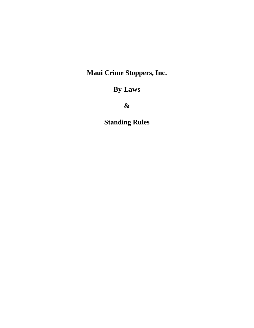# **Maui Crime Stoppers, Inc.**

# **By-Laws**

**&**

**Standing Rules**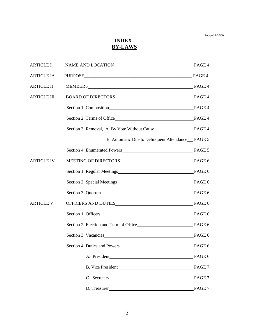## *INDEX*  **BY-LAWS**

| <b>ARTICLE I</b>   | NAME AND LOCATION PAGE 4                                              |        |
|--------------------|-----------------------------------------------------------------------|--------|
| <b>ARTICLE IA</b>  | PURPOSE PAGE 4                                                        |        |
| <b>ARTICLE II</b>  | MEMBERS NET PAGE 4                                                    |        |
| <b>ARTICLE III</b> | BOARD OF DIRECTORS PAGE 4                                             |        |
|                    |                                                                       |        |
|                    |                                                                       |        |
|                    |                                                                       |        |
|                    | B. Automatic Due to Delinquent Attendance PAGE 5                      |        |
|                    |                                                                       |        |
| <b>ARTICLE IV</b>  |                                                                       |        |
|                    |                                                                       |        |
|                    | Section 2. Special Meetings PAGE 6                                    |        |
|                    | Section 3. Quorum<br>PAGE 6                                           |        |
| <b>ARTICLE V</b>   | OFFICERS AND DUTIES PAGE 6                                            |        |
|                    | Section 1. Officers PAGE 6                                            |        |
|                    |                                                                       |        |
|                    | Section 3. Vacancies Manual Communication of the Section 3. Vacancies | PAGE 6 |
|                    | Section 4. Duties and Powers                                          | PAGE 6 |
|                    |                                                                       | PAGE 6 |
|                    |                                                                       | PAGE 7 |
|                    | C. Secretary                                                          | PAGE 7 |
|                    | D. Treasurer                                                          | PAGE 7 |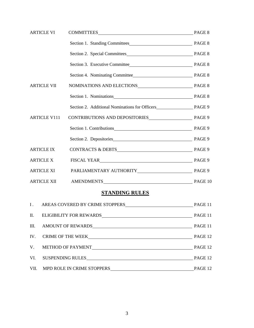| <b>ARTICLE VI</b>   |                                       |         |
|---------------------|---------------------------------------|---------|
|                     |                                       |         |
|                     |                                       |         |
|                     |                                       |         |
|                     |                                       |         |
| <b>ARTICLE VII</b>  |                                       |         |
|                     | Section 1. Nominations PAGE 8         |         |
|                     |                                       |         |
| <b>ARTICLE V111</b> | CONTRIBUTIONS AND DEPOSITORIES PAGE 9 |         |
|                     | Section 1. Contributions PAGE 9       |         |
|                     |                                       |         |
| <b>ARTICLE IX</b>   |                                       |         |
| <b>ARTICLE X</b>    | FISCAL YEAR NATION PAGE 9             |         |
| <b>ARTICLE XI</b>   | PARLIAMENTARY AUTHORITY PAGE 9        |         |
| <b>ARTICLE XII</b>  |                                       |         |
|                     | <b>STANDING RULES</b>                 |         |
| I.                  | AREAS COVERED BY CRIME STOPPERS       | PAGE 11 |

| 1. Then to the product of the control of the control of the control of the control of the control of the control of the control of the control of the control of the control of the control of the control of the control of t |         |
|--------------------------------------------------------------------------------------------------------------------------------------------------------------------------------------------------------------------------------|---------|
|                                                                                                                                                                                                                                |         |
|                                                                                                                                                                                                                                |         |
|                                                                                                                                                                                                                                |         |
|                                                                                                                                                                                                                                |         |
|                                                                                                                                                                                                                                | PAGE 12 |
|                                                                                                                                                                                                                                |         |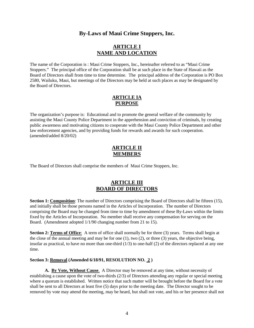## **By-Laws of Maui Crime Stoppers, Inc.**

### **ARTICLE I NAME AND LOCATION**

The name of the Corporation is : Maui Crime Stoppers, Inc., hereinafter referred to as "Maui Crime Stoppers." The principal office of the Corporation shall be at such place in the State of Hawaii as the Board of Directors shall from time to time determine. The principal address of the Corporation is PO Box 2580, Wailuku, Maui, but meetings of the Directors may be held at such places as may be designated by the Board of Directors.

#### **ARTICLE IA PURPOSE**

The organization's purpose is: Educational and to promote the general welfare of the community by assisting the Maui County Police Department in the apprehension and conviction of criminals, by creating public awareness and motivating citizens to cooperate with the Maui County Police Department and other law enforcement agencies, and by providing funds for rewards and awards for such cooperation. (amended/added 8/20/02)

#### **ARTICLE II MEMBERS**

The Board of Directors shall comprise the members of Maui Crime Stoppers, Inc.

# **ARTICLE III BOARD OF DIRECTORS**

**Section 1: Composition**: The number of Directors comprising the Board of Directors shall be fifteen (15), and initially shall be those persons named in the Articles of Incorporation. The number of Directors comprising the Board may be changed from time to time by amendment of these By-Laws within the limits fixed by the Articles of Incorporation. No member shall receive any compensation for serving on the Board. (Amendment adopted 1/1/90 changing number from 21 to 15).

**Section 2: Terms of Office**: A term of office shall normally be for three (3) years. Terms shall begin at the close of the annual meeting and may be for one (1), two (2), or three (3) years, the objective being, insofar as practical, to have no more than one-third  $(1/3)$  to one-half  $(2)$  of the directors replaced at any one time.

#### **Section 3: Removal (Amended 6/18/91, RESOLUTION NO. 2 )**

**A. By Vote, Without Cause**. A Director may be removed at any time, without necessity of establishing a cause upon the vote of two-thirds (2/3) of Directors attending any regular or special meeting where a quorum is established. Written notice that such matter will be brought before the Board for a vote shall be sent to all Directors at least five (5) days prior to the meeting date. The Director sought to be removed by vote may attend the meeting, may be heard, but shall not vote, and his or her presence shall not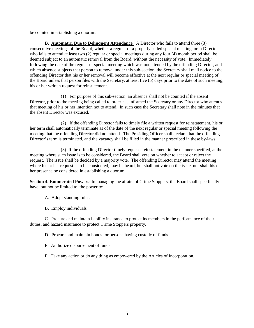be counted in establishing a quorum.

**B. Automatic, Due to Delinquent Attendance**. A Director who fails to attend three (3) consecutive meetings of the Board, whether a regular or a properly called special meeting, or, a Director who fails to attend at least two (2) regular or special meetings during any four (4) month period shall be deemed subject to an automatic removal from the Board, without the necessity of vote. Immediately following the date of the regular or special meeting which was not attended by the offending Director, and which absence subjects that person to removal under this sub-section, the Secretary shall mail notice to the offending Director that his or her removal will become effective at the next regular or special meeting of the Board unless that person files with the Secretary, at least five (5) days prior to the date of such meeting, his or her written request for reinstatement.

(1) For purpose of this sub-section, an absence shall not be counted if the absent Director, prior to the meeting being called to order has informed the Secretary or any Director who attends that meeting of his or her intention not to attend. In such case the Secretary shall note in the minutes that the absent Director was excused.

(2) If the offending Director fails to timely file a written request for reinstatement, his or her term shall automatically terminate as of the date of the next regular or special meeting following the meeting that the offending Director did not attend. The Presiding Officer shall declare that the offending Director's term is terminated, and the vacancy shall be filled in the manner prescribed in these by-laws.

(3) If the offending Director timely requests reinstatement in the manner specified, at the meeting where such issue is to be considered, the Board shall vote on whether to accept or reject the request. The issue shall be decided by a majority vote. The offending Director may attend the meeting where his or her request is to be considered, may be heard, but shall not vote on the issue, nor shall his or her presence be considered in establishing a quorum.

**Section 4. Enumerated Powers**: In managing the affairs of Crime Stoppers, the Board shall specifically have, but not be limited to, the power to:

A. Adopt standing rules.

B. Employ individuals

C. Procure and maintain liability insurance to protect its members in the performance of their duties, and hazard insurance to protect Crime Stoppers property.

D. Procure and maintain bonds for persons having custody of funds.

E. Authorize disbursement of funds.

F. Take any action or do any thing as empowered by the Articles of Incorporation.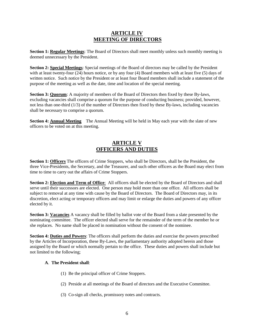## **ARTICLE IV MEETING OF DIRECTORS**

**Section 1: Regular Meetings:** The Board of Directors shall meet monthly unless such monthly meeting is deemed unnecessary by the President.

**Section 2: Special Meetings**: Special meetings of the Board of directors may be called by the President with at least twenty-four (24) hours notice, or by any four (4) Board members with at least five (5) days of written notice. Such notice by the President or at least four Board members shall include a statement of the purpose of the meeting as well as the date, time and location of the special meeting.

**Section 3: Quorum**: A majority of members of the Board of Directors then fixed by these By-laws, excluding vacancies shall comprise a quorum for the purpose of conducting business; provided, however, not less than one-third (1/3) of the number of Directors then fixed by these By-laws, including vacancies shall be necessary to comprise a quorum.

**Section 4: Annual Meeting** The Annual Meeting will be held in May each year with the slate of new officers to be voted on at this meeting.

## **ARTICLE V OFFICERS AND DUTIES**

**Section 1: Officers** The officers of Crime Stoppers, who shall be Directors, shall be the President, the three Vice-Presidents, the Secretary, and the Treasurer, and such other officers as the Board may elect from time to time to carry out the affairs of Crime Stoppers.

**Section 2: Election and Term of Office**: All officers shall be elected by the Board of Directors and shall serve until their successors are elected. One person may hold more than one office. All officers shall be subject to removal at any time with cause by the Board of Directors. The Board of Directors may, in its discretion, elect acting or temporary officers and may limit or enlarge the duties and powers of any officer elected by it.

**Section 3: Vacancies** A vacancy shall be filled by ballot vote of the Board from a slate presented by the nominating committee. The officer elected shall serve for the remainder of the term of the member he or she replaces. No name shall be placed in nomination without the consent of the nominee.

**Section 4: Duties and Powers**: The officers shall perform the duties and exercise the powers prescribed by the Articles of Incorporation, these By-Laws, the parliamentary authority adopted herein and those assigned by the Board or which normally pertain to the office. These duties and powers shall include but not limited to the following;

#### **A**. **The President shall**:

- (1) Be the principal officer of Crime Stoppers.
- (2) Preside at all meetings of the Board of directors and the Executive Committee.
- (3) Co-sign all checks, promissory notes and contracts.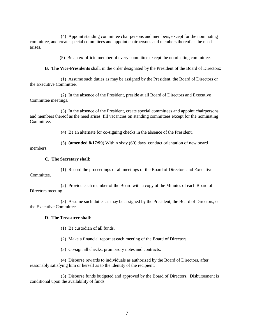(4) Appoint standing committee chairpersons and members, except for the nominating committee, and create special committees and appoint chairpersons and members thereof as the need arises.

(5) Be an ex-officio member of every committee except the nominating committee.

**B**. **The Vice-Presidents** shall, in the order designated by the President of the Board of Directors:

(1) Assume such duties as may be assigned by the President, the Board of Directors or the Executive Committee.

(2) In the absence of the President, preside at all Board of Directors and Executive Committee meetings.

(3) In the absence of the President, create special committees and appoint chairpersons and members thereof as the need arises, fill vacancies on standing committees except for the nominating Committee.

(4) Be an alternate for co-signing checks in the absence of the President.

(5) **(amended 8/17/99**) Within sixty (60) days conduct orientation of new board

members.

#### **C**. **The Secretary shall**:

(1) Record the proceedings of all meetings of the Board of Directors and Executive Committee.

(2) Provide each member of the Board with a copy of the Minutes of each Board of Directors meeting.

(3) Assume such duties as may be assigned by the President, the Board of Directors, or the Executive Committee.

#### **D**. **The Treasurer shall**:

(1) Be custodian of all funds.

(2) Make a financial report at each meeting of the Board of Directors.

(3) Co-sign all checks, promissory notes and contracts.

(4) Disburse rewards to individuals as authorized by the Board of Directors, after reasonably satisfying him or herself as to the identity of the recipient.

(5) Disburse funds budgeted and approved by the Board of Directors. Disbursement is conditional upon the availability of funds.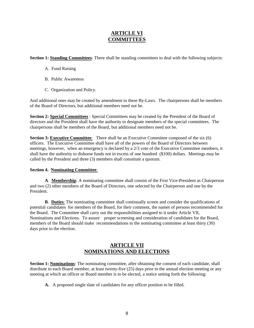## **ARTICLE VI COMMITTEES**

**Section 1: Standing Committees**: There shall be standing committees to deal with the following subjects:

- A. Fund Raising
- B. Public Awareness
- C. Organization and Policy.

And additional ones may be created by amendment to these By-Laws. The chairpersons shall be members of the Board of Directors, but additional members need not be.

**Section 2: Special Committees** : Special Committees may be created by the President of the Board of directors and the President shall have the authority to designate members of the special committees. The chairpersons shall be members of the Board, but additional members need not be.

**Section 3: Executive Committee:** There shall be an Executive Committee composed of the six (6) officers. The Executive Committee shall have all of the powers of the Board of Directors between meetings, however, when an emergency is declared by a 2/3 vote of the Executive Committee members, it shall have the authority to disburse funds not in excess of one hundred (\$100) dollars. Meetings may be called by the President and three (3) members shall constitute a quorum.

#### **Section 4. Nominating Committee**:

 **A**. **Membership**: A nominating committee shall consist of the First Vice-President as Chairperson and two (2) other members of the Board of Directors, one selected by the Chairperson and one by the President.

 **B**. **Duties**: The nominating committee shall continually screen and consider the qualifications of potential candidates for members of the Board, for their comment, the names of persons recommended for the Board. The Committee shall carry out the responsibilities assigned to it under Article VII, Nominations and Elections. To assure proper screening and consideration of candidates for the Board, members of the Board should make recommendations to the nominating committee at least thirty (30) days prior to the election.

#### **ARTICLE VII NOMINATIONS AND ELECTIONS**

**Section 1: Nominations**: The nominating committee, after obtaining the consent of each candidate, shall distribute to each Board member, at least twenty-five (25) days prior to the annual election meeting or any meeting at which an officer or Board member is to be elected, a notice setting forth the following:

 **A.** A proposed single slate of candidates for any officer position to be filled.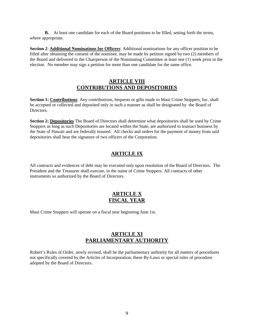**B.** At least one candidate for each of the Board positions to be filled, setting forth the terms, where appropriate.

**Section 2**: **Additional Nominations for Officers**: Additional nominations for any officer position to be filled after obtaining the consent of the nominee, may be made by petition signed by two (2) members of the Board and delivered to the Chairperson of the Nominating Committee at least one (1) week prior to the election. No member may sign a petition for more than one candidate for the same office.

#### **ARTICLE VIII CONTRIBUTIONS AND DEPOSITORIES**

**Section 1: Contributions**: Any contributions, bequests or gifts made to Maui Crime Stoppers, Inc. shall be accepted or collected and deposited only in such a manner as shall be designated by the Board of Directors.

**Section 2: Depositories** The Board of Directors shall determine what depositories shall be used by Crime Stoppers as long as such Depositories are located within the State, are authorized to transact business by the State of Hawaii and are federally insured. All checks and orders for the payment of money from said depositories shall bear the signature of two officers of the Corporation.

# **ARTICLE IX**

All contracts and evidences of debt may be executed only upon resolution of the Board of Directors. The President and the Treasurer shall execute, in the name of Crime Stoppers. All contracts of other instruments so authorized by the Board of Directors.

## **ARTICLE X FISCAL YEAR**

Maui Crime Stoppers will operate on a fiscal year beginning June 1st.

## **ARTICLE XI PARLIAMENTARY AUTHORITY**

Robert's Rules of Order, newly revised, shall be the parliamentary authority for all matters of procedures not specifically covered by the Articles of Incorporation, these By-Laws or special rules of procedure adopted by the Board of Directors.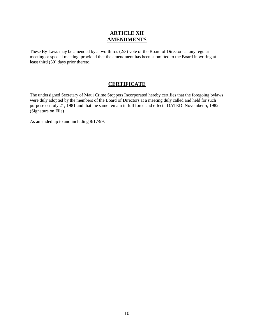## **ARTICLE XII AMENDMENTS**

These By-Laws may be amended by a two-thirds (2/3) vote of the Board of Directors at any regular meeting or special meeting, provided that the amendment has been submitted to the Board in writing at least third (30) days prior thereto.

# **CERTIFICATE**

The undersigned Secretary of Maui Crime Stoppers Incorporated hereby certifies that the foregoing bylaws were duly adopted by the members of the Board of Directors at a meeting duly called and held for such purpose on July 21, 1981 and that the same remain in full force and effect. DATED: November 5, 1982. (Signature on File)

As amended up to and including 8/17/99.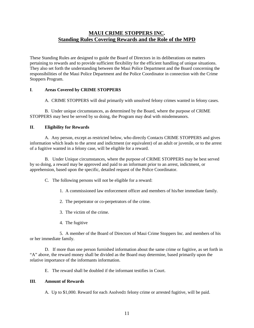# **MAUI CRIME STOPPERS INC. Standing Rules Covering Rewards and the Role of the MPD**

These Standing Rules are designed to guide the Board of Directors in its deliberations on matters pertaining to rewards and to provide sufficient flexibility for the efficient handling of unique situations. They also set forth the understanding between the Maui Police Department and the Board concerning the responsibilities of the Maui Police Department and the Police Coordinator in connection with the Crime Stoppers Program.

#### **I**. **Areas Covered by CRIME STOPPERS**

A. CRIME STOPPERS will deal primarily with unsolved felony crimes wanted in felony cases.

B. Under unique circumstances, as determined by the Board, where the purpose of CRIME STOPPERS may best be served by so doing, the Program may deal with misdemeanors.

#### **II**. **Eligibility for Rewards**

A. Any person, except as restricted below, who directly Contacts CRIME STOPPERS and gives information which leads to the arrest and indictment (or equivalent) of an adult or juvenile, or to the arrest of a fugitive wanted in a felony case, will be eligible for a reward.

B. Under Unique circumstances, where the purpose of CRIME STOPPERS may be best served by so doing, a reward may be approved and paid to an informant prior to an arrest, indictment, or apprehension, based upon the specific, detailed request of the Police Coordinator.

C. The following persons will not be eligible for a reward:

1. A commissioned law enforcement officer and members of his/her immediate family.

2. The perpetrator or co-perpetrators of the crime.

3. The victim of the crime.

4. The fugitive

5. A member of the Board of Directors of Maui Crime Stoppers Inc. and members of his or her immediate family.

D. If more than one person furnished information about the same crime or fugitive, as set forth in "A" above, the reward money shall be divided as the Board may determine, based primarily upon the relative importance of the informants information.

E. The reward shall be doubled if the informant testifies in Court.

#### **III**. **Amount of Rewards**

A. Up to \$1,000. Reward for each Αsolved≅ felony crime or arrested fugitive, will be paid.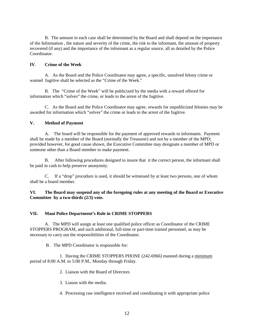B. The amount in each case shall be determined by the Board and shall depend on the importance of the Information , the nature and severity of the crime, the risk to the informant, the amount of property recovered (if any) and the importance of the informant as a regular source, all as detailed by the Police Coordinator.

#### **IV**. **Crime of the Week**

A. As the Board and the Police Coordinator may agree, a specific, unsolved felony crime or wanted fugitive shall be selected as the "Crime of the Week."

B. The "Crime of the Week" will be publicized by the media with a reward offered for information which "solves" the crime, or leads to the arrest of the fugitive.

C. As the Board and the Police Coordinator may agree, rewards for unpublicized felonies may be awarded for information which "solves" the crime or leads to the arrest of the fugitive.

#### **V. Method of Payment**

A. The board will be responsible for the payment of approved rewards to informants. Payment shall be made by a member of the Board (normally the Treasurer) and not by a member of the MPD; provided however, for good cause shown, the Executive Committee may designate a member of MPD or someone other than a Board member to make payment.

B. After following procedures designed to insure that it the correct person, the informant shall be paid in cash to help preserve anonymity.

C. If a "drop" procedure is used, it should be witnessed by at least two persons, one of whom shall be a board member.

**VI. The Board may suspend any of the foregoing rules at any meeting of the Board or Executive Committee by a two-thirds (2/3) vote.**

#### **VII. Maui Police Department's Role in CRIME STOPPERS**

A. The MPD will assign at least one qualified police officer as Coordinator of the CRIME STOPPERS PROGRAM, and such additional, full-time or part-time trained personnel, as may be necessary to carry out the responsibilities of the Coordinator.

B. The MPD Coordinator is responsible for:

1. Having the CRIME STOPPERS PHONE (242-6966) manned during a minimum period of 8:00 A.M. to 5:00 P.M., Monday through Friday.

2. Liaison with the Board of Directors

3. Liason with the media.

4. Processing raw intelligence received and coordinating it with appropriate police